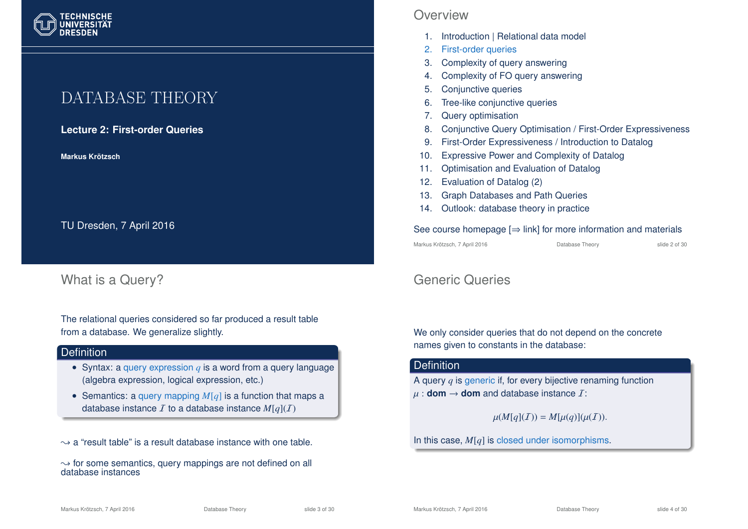## DATABASE THEORY

**Lecture 2: First-order Queries**

**Markus Krotzsch ¨**

TU Dresden, 7 April 2016

### What is a Query?

The relational queries considered so far produced a result table from a database. We generalize slightly.

#### **Definition**

- Syntax: a query expression *q* is a word from a query language (algebra expression, logical expression, etc.)
- Semantics: a query mapping *M*[*q*] is a function that maps a database instance  $I$  to a database instance  $M[a](I)$

 $\rightarrow$  a "result table" is a result database instance with one table.

 $\rightarrow$  for some semantics, query mappings are not defined on all database instances

### **Overview**

- 1. Introduction | Relational data model
- 2. First-order queries
- 3. Complexity of query answering
- 4. Complexity of FO query answering
- 5. Conjunctive queries
- 6. Tree-like conjunctive queries
- 7. Query optimisation
- 8. Conjunctive Query Optimisation / First-Order Expressiveness
- 9. First-Order Expressiveness / Introduction to Datalog
- 10. Expressive Power and Complexity of Datalog
- 11. Optimisation and Evaluation of Datalog
- 12. Evaluation of Datalog (2)
- 13. Graph Databases and Path Queries
- 14. Outlook: database theory in practice

#### See course homepage  $\Rightarrow$  link] for more information and materials

Markus Krötzsch, 7 April 2016 **Database Theory** Slide 2 of 30

### Generic Queries

We only consider queries that do not depend on the concrete names given to constants in the database:

#### **Definition**

A query *q* is generic if, for every bijective renaming function  $\mu$  : **dom**  $\rightarrow$  **dom** and database instance *I*:

$$
\mu(M[q](\mathcal{I})) = M[\mu(q)](\mu(\mathcal{I})).
$$

In this case, *M*[*q*] is closed under isomorphisms.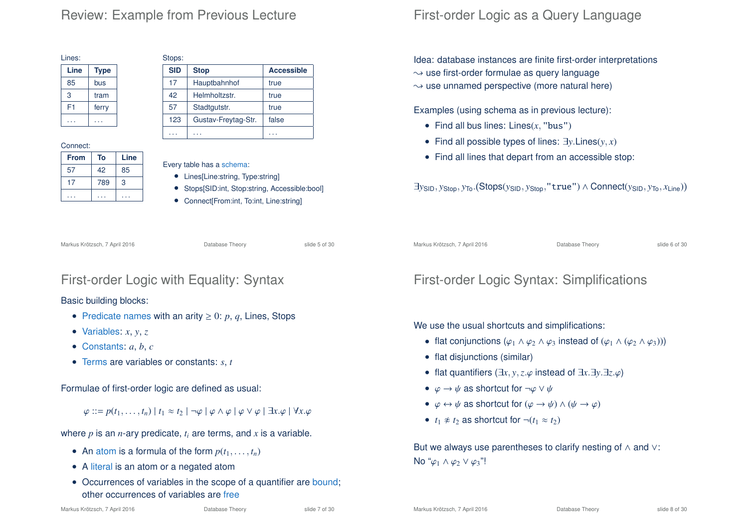### Review: Example from Previous Lecture

 $S<sub>1</sub> = 1$ 

| Lines: |             |  |  |
|--------|-------------|--|--|
| Line   | <b>Type</b> |  |  |
| 85     | bus         |  |  |
| 3      | tram        |  |  |
| F1     | ferry       |  |  |
|        |             |  |  |

#### Connect:

| <b>From</b> | To  | Line |
|-------------|-----|------|
| 57          | 42  | 85   |
|             | 789 | 3    |
|             |     |      |

| ວເບບຮ.     |                     |                   |
|------------|---------------------|-------------------|
| <b>SID</b> | <b>Stop</b>         | <b>Accessible</b> |
| 17         | Hauptbahnhof        | true              |
| 42         | Helmholtzstr.       | true              |
| 57         | Stadtgutstr.        | true              |
| 123        | Gustav-Freytag-Str. | false             |
|            |                     |                   |

Every table has a schema:

- Lines[Line:string, Type:string]
- Stops[SID:int, Stop:string, Accessible:bool]
- Connect[From:int, To:int, Line:string]

Markus Krötzsch, 7 April 2016 **Database Theory** Slide 5 of 30

### First-order Logic with Equality: Syntax

#### Basic building blocks:

- Predicate names with an arity  $\geq 0$ : p, q, Lines, Stops
- Variables:  $x, y, z$
- Constants: *a*, *b*, *c*
- Terms are variables or constants: *s*, *t*

Formulae of first-order logic are defined as usual:

 $\varphi ::= p(t_1, \ldots, t_n) | t_1 \approx t_2 | \neg \varphi | \varphi \wedge \varphi | \varphi \vee \varphi | \exists x. \varphi | \forall x. \varphi$ 

where  $p$  is an  $n$ -ary predicate,  $t_i$  are terms, and  $x$  is a variable.

- An atom is a formula of the form  $p(t_1, \ldots, t_n)$
- A literal is an atom or a negated atom
- Occurrences of variables in the scope of a quantifier are bound: other occurrences of variables are free

### First-order Logic as a Query Language

Idea: database instances are finite first-order interpretations

- $\rightarrow$  use first-order formulae as query language
- $\rightarrow$  use unnamed perspective (more natural here)

Examples (using schema as in previous lecture):

- Find all bus lines: Lines(*x*, "bus")
- Find all possible types of lines: ∃*y*.Lines(*y*, *x*)
- Find all lines that depart from an accessible stop:

∃*y*SID, *y*Stop, *y*To. Stops(*y*SID, *y*Stop,"true") ∧ Connect(*y*SID, *y*To, *x*Line)

Markus Krötzsch, 7 April 2016 **Database Theory** Slide 6 of 30

### First-order Logic Syntax: Simplifications

We use the usual shortcuts and simplifications:

- flat conjunctions  $(\varphi_1 \wedge \varphi_2 \wedge \varphi_3)$  instead of  $(\varphi_1 \wedge (\varphi_2 \wedge \varphi_3))$
- flat disjunctions (similar)
- flat quantifiers (∃*x*, *y*,*z*.ϕ instead of ∃*x*.∃*y*.∃*z*.ϕ)
- $\varphi \to \psi$  as shortcut for  $\neg \varphi \lor \psi$
- $\varphi \leftrightarrow \psi$  as shortcut for  $(\varphi \rightarrow \psi) \land (\psi \rightarrow \varphi)$
- $t_1 \not\approx t_2$  as shortcut for  $\neg(t_1 \approx t_2)$

But we always use parentheses to clarify nesting of ∧ and ∨: No " $\varphi_1 \wedge \varphi_2 \vee \varphi_3$ "!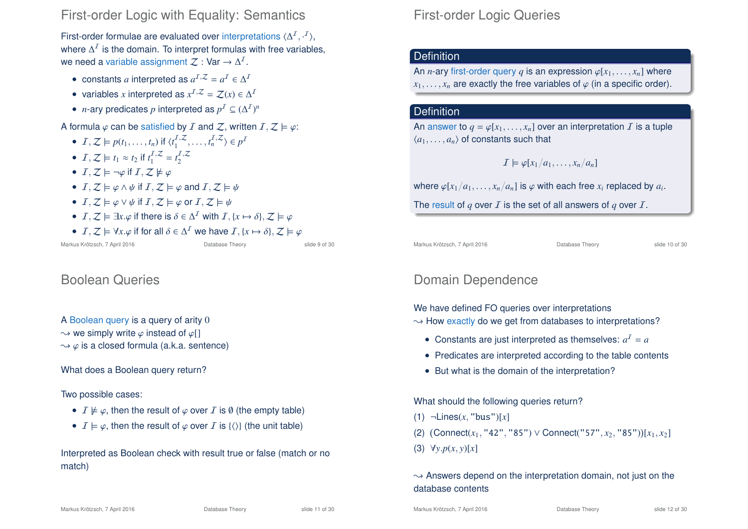### First-order Logic with Equality: Semantics

First-order formulae are evaluated over interpretations  $\langle \Delta^I, \cdot^I \rangle$ , where  $\Delta^I$  is the domain. To interpret formulas with free variables, we need a variable assignment  $\mathcal{Z}:$  Var  $\rightarrow \Delta^2$ .

- constants *a* interpreted as  $a^{I,Z} = a^I \in \Delta^I$
- variables *x* interpreted as  $x^{I,Z} = \mathcal{Z}(x) \in \Delta^I$
- *n*-ary predicates *p* interpreted as  $p^I \subseteq (\Delta^I)^n$

#### A formula  $\varphi$  can be satisfied by I and Z, written  $I, Z \models \varphi$ :

- $I, Z \models p(t_1, \ldots, t_n)$  if  $\langle t_1^{I,Z}, \ldots, t_n^{I,Z} \rangle \in p^I$
- $I, Z \models t_1 \approx t_2$  if  $t_1^{I, Z} = t_2^{I, Z}$
- $I, Z \models \neg \varphi$  if  $I, Z \not\models \varphi$
- $I, Z \models \varphi \land \psi$  if  $I, Z \models \varphi$  and  $I, Z \models \psi$
- $I, Z \models \varphi \vee \psi$  if  $I, Z \models \varphi$  or  $I, Z \models \psi$
- $I, Z \models \exists x. \varphi$  if there is  $\delta \in \Delta^I$  with  $I, \{x \mapsto \delta\}, Z \models \varphi$
- $I, Z \models \forall x. \varphi$  if for all  $\delta \in \Delta^I$  we have  $I, \{x \mapsto \delta\}, Z \models \varphi$

Markus Krötzsch, 7 April 2016 Database Theory slide 9 of 30

### Boolean Queries

```
A Boolean query is a query of arity 0
```
 $\rightarrow$  we simply write  $\varphi$  instead of  $\varphi$ []

 $\rightarrow \varphi$  is a closed formula (a.k.a. sentence)

What does a Boolean query return?

#### Two possible cases:

- $I \not\models \varphi$ , then the result of  $\varphi$  over I is  $\emptyset$  (the empty table)
- $I \models \varphi$ , then the result of  $\varphi$  over I is {\\} (the unit table)

Interpreted as Boolean check with result true or false (match or no match)

### First-order Logic Queries

### **Definition**

An *n*-ary first-order query *q* is an expression  $\varphi[x_1, \ldots, x_n]$  where  $x_1, \ldots, x_n$  are exactly the free variables of  $\varphi$  (in a specific order).

#### **Definition**

An answer to  $q = \varphi[x_1, \ldots, x_n]$  over an interpretation  $I$  is a tuple  $\langle a_1, \ldots, a_n \rangle$  of constants such that

$$
I \models \varphi[x_1/a_1,\ldots,x_n/a_n]
$$

where  $\varphi[x_1/a_1,\ldots,x_n/a_n]$  is  $\varphi$  with each free  $x_i$  replaced by  $a_i.$ 

The result of  $q$  over  $I$  is the set of all answers of  $q$  over  $I$ .

Markus Krötzsch, 7 April 2016 **Database Theory** Slide 10 of 30

### Domain Dependence

We have defined FO queries over interpretations

- $\rightarrow$  How exactly do we get from databases to interpretations?
	- Constants are just interpreted as themselves:  $a^1 = a$
	- Predicates are interpreted according to the table contents
	- But what is the domain of the interpretation?

What should the following queries return?

- (1) ¬Lines(*x*, "bus")[*x*]
- (2)  $(Connect(x_1, "42", "85") \vee Connect("57", x_2, "85")) [x_1, x_2]$

(3) ∀*y*.*p*(*x*, *y*)[*x*]

#### $\rightarrow$  Answers depend on the interpretation domain, not just on the database contents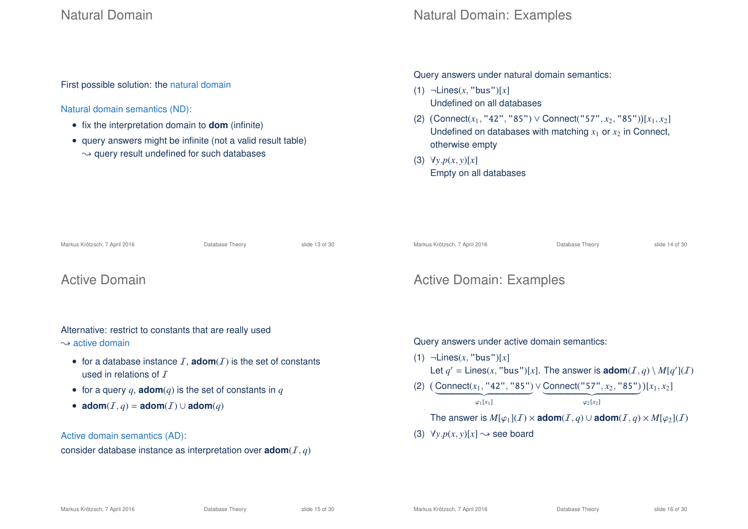### Natural Domain

Natural Domain: Examples

First possible solution: the natural domain

#### Natural domain semantics (ND):

- fix the interpretation domain to **dom** (infinite)
- query answers might be infinite (not a valid result table)  $\rightarrow$  query result undefined for such databases

#### Query answers under natural domain semantics:

- (1) ¬Lines(*x*, "bus")[*x*] Undefined on all databases
- (2)  $( \text{Connect}(x_1, "42", "85") \lor \text{Connect}("57", x_2, "85")) [x_1, x_2]$ Undefined on databases with matching  $x_1$  or  $x_2$  in Connect, otherwise empty
- (3) ∀*y*.*p*(*x*, *y*)[*x*] Empty on all databases

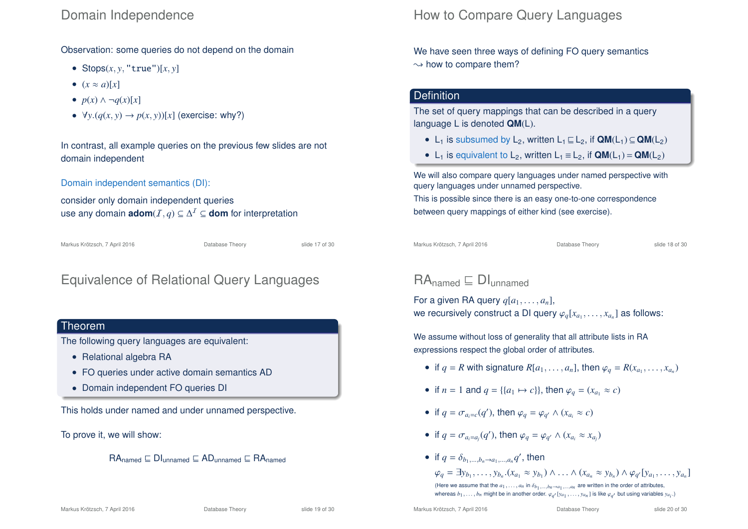### Domain Independence

Observation: some queries do not depend on the domain

- Stops $(x, y, "true")[x, y]$
- $(x \approx a)[x]$
- $p(x) \wedge \neg q(x)[x]$
- $\forall y. (q(x, y) \rightarrow p(x, y))[x]$  (exercise: why?)

In contrast, all example queries on the previous few slides are not domain independent

Domain independent semantics (DI):

consider only domain independent queries use any domain **adom**( $I, q$ ) ⊆  $\Delta^I$  ⊆ **dom** for interpretation

Markus Krötzsch, 7 April 2016 **Database Theory** Slide 17 of 30

### Equivalence of Relational Query Languages

#### Theorem

The following query languages are equivalent:

- Relational algebra RA
- FO queries under active domain semantics AD
- Domain independent FO queries DI

This holds under named and under unnamed perspective.

To prove it, we will show:

 $RA_{\text{named}} \sqsubseteq \text{DI}_{\text{unnamed}} \sqsubseteq \text{AD}_{\text{unnamed}} \sqsubseteq \text{RA}_{\text{named}}$ 

### How to Compare Query Languages

We have seen three ways of defining FO query semantics  $\rightarrow$  how to compare them?

#### **Definition**

The set of query mappings that can be described in a query language L is denoted **QM**(L).

- L<sub>1</sub> is subsumed by L<sub>2</sub>, written L<sub>1</sub>  $\sqsubseteq$  L<sub>2</sub>, if  $QM(L_1) \subseteq QM(L_2)$
- L<sub>1</sub> is equivalent to L<sub>2</sub>, written L<sub>1</sub>  $\equiv$  L<sub>2</sub>, if **QM**(L<sub>1</sub>) = **QM**(L<sub>2</sub>)

We will also compare query languages under named perspective with query languages under unnamed perspective.

This is possible since there is an easy one-to-one correspondence between query mappings of either kind (see exercise).

Markus Krötzsch, 7 April 2016 **Database Theory** Slide 18 of 30

### $RA_{\text{named}} \sqsubset \text{DI}_{\text{unnamed}}$

For a given RA query  $q[a_1, \ldots, a_n]$ , we recursively construct a DI query  $\varphi_q[x_{a_1}, \ldots, x_{a_n}]$  as follows:

We assume without loss of generality that all attribute lists in RA expressions respect the global order of attributes.

- if  $q = R$  with signature  $R[a_1, \ldots, a_n]$ , then  $\varphi_q = R(x_{a_1}, \ldots, x_{a_n})$
- if  $n = 1$  and  $q = \{ \{a_1 \mapsto c \} \}$ , then  $\varphi_q = (x_q, \approx c)$
- if  $q = \sigma_{a_i=c}(q')$ , then  $\varphi_q = \varphi_{q'} \wedge (x_{a_i} \approx c)$
- if  $q = \sigma_{a_i=a_j}(q')$ , then  $\varphi_q = \varphi_{q'} \wedge (x_{a_i} \approx x_{a_j})$
- if  $q = \delta_{b_1,\dots,b_n \to a_1,\dots,a_n} q'$ , then

 $\varphi_q = \exists y_{b_1}, \ldots, y_{b_n}.(x_{a_1} \approx y_{b_1}) \wedge \ldots \wedge (x_{a_n} \approx y_{b_n}) \wedge \varphi_{q'}[y_{a_1}, \ldots, y_{a_n}]$ (Here we assume that the  $a_1, \ldots, a_n$  in  $\delta_{b_1, \ldots, b_n \to a_1, \ldots, a_n}$  are written in the order of attributes, whereas  $b_1, \ldots, b_n$  might be in another order.  $\varphi_{q'}[y_{a_1}, \ldots, y_{a_n}]$  is like  $\varphi_{q'}$  but using variables  $y_{a_i}$ .)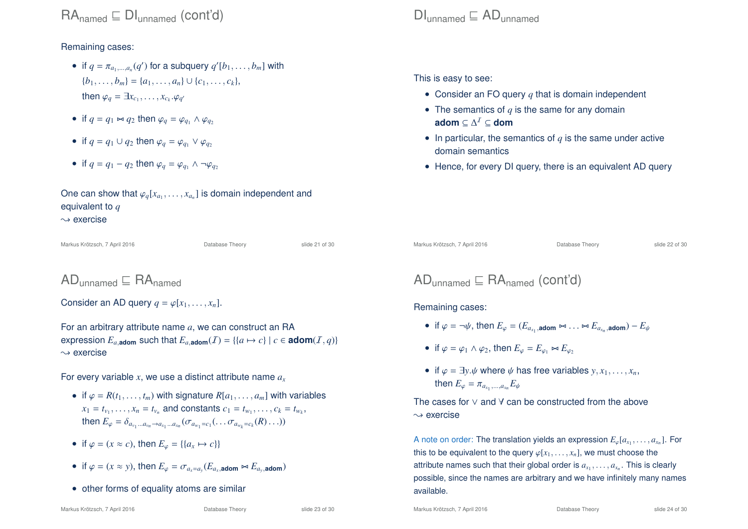Remaining cases:

- if  $q = \pi_{a_1,\dots,a_n}(q')$  for a subquery  $q'[b_1,\dots,b_m]$  with  ${b_1, \ldots, b_m} = {a_1, \ldots, a_n} \cup {c_1, \ldots, c_k},$ then  $\varphi_q = \exists x_{c_1}, \ldots, x_{c_k}.\varphi_{q'}$
- if  $q = q_1 \Join q_2$  then  $\varphi_q = \varphi_q$ ,  $\land \varphi_q$
- if  $q = q_1 \cup q_2$  then  $\varphi_q = \varphi_{q_1} \vee \varphi_{q_2}$
- if  $q = q_1 q_2$  then  $\varphi_q = \varphi_{q_1} \wedge \neg \varphi_{q_2}$

One can show that  $\varphi_q[x_{a_1},\ldots,x_{a_n}]$  is domain independent and equivalent to *q*  $\rightsquigarrow$  exercise

Markus Krötzsch, 7 April 2016 **Database Theory** Slide 21 of 30

### $AD_{unpamed} \nightharpoonup RA_{pamed}$

Consider an AD query  $q = \varphi[x_1, \ldots, x_n]$ .

For an arbitrary attribute name *a*, we can construct an RA expression  $E_{a,\text{adom}}$  such that  $E_{a,\text{adom}}(I) = \{ \{a \mapsto c\} \mid c \in \text{adom}(I, q) \}$  $\rightsquigarrow$  exercise

For every variable *x*, we use a distinct attribute name *a<sup>x</sup>*

- if  $\varphi = R(t_1, \ldots, t_m)$  with signature  $R[a_1, \ldots, a_m]$  with variables  $x_1 = t_{v_1}, \ldots, x_n = t_{v_n}$  and constants  $c_1 = t_{w_1}, \ldots, c_k = t_{w_k}$ then  $E_{\varphi} = \delta_{a_{v_1}...a_{v_n} \to a_{x_1}...a_{x_n}} (\sigma_{a_{w_1} = c_1}(\ldots \sigma_{a_{w_k} = c_k}(R) \ldots))$
- if  $\varphi = (x \approx c)$ , then  $E_{\varphi} = \{ \{a_x \mapsto c \} \}$
- if  $\varphi = (x \approx y)$ , then  $E_{\varphi} = \sigma_{a_x = a_y}(E_{a_x, \text{adom}} \bowtie E_{a_y, \text{adom}})$
- other forms of equality atoms are similar

### $D_{unpamed} \nightharpoonup AD_{unpamed}$

This is easy to see:

- Consider an FO query *q* that is domain independent
- The semantics of  $q$  is the same for any domain **adom** ⊆ ∆ <sup>I</sup> ⊆ **dom**
- In particular, the semantics of *q* is the same under active domain semantics
- Hence, for every DI query, there is an equivalent AD query

Markus Krötzsch, 7 April 2016 **Database Theory** Slide 22 of 30

$$
AD_{unnamed} \sqsubseteq RA_{named} (cont'd)
$$

Remaining cases:

- if  $\varphi = \neg \psi$ , then  $E_{\varphi} = (E_{a_{x_1}}, \text{atom} \bowtie \ldots \bowtie E_{a_{x_n}}, \text{atom}) E_{\psi}$
- if  $\varphi = \varphi_1 \wedge \varphi_2$ , then  $E_{\varphi} = E_{\varphi_1} \Join E_{\varphi_2}$
- if  $\varphi = \exists y \psi$  where  $\psi$  has free variables  $y, x_1, \ldots, x_n$ , then  $E_{\varphi} = \pi_{a_{x_1},...,a_{x_n}} E_{\psi}$

The cases for ∨ and ∀ can be constructed from the above  $\rightsquigarrow$  exercise

A note on order: The translation yields an expression  $E_{\varphi}[a_{x_1},\ldots,a_{x_n}].$  For this to be equivalent to the query  $\varphi[x_1, \ldots, x_n]$ , we must choose the attribute names such that their global order is  $a_{x_1},\ldots,a_{x_n}.$  This is clearly possible, since the names are arbitrary and we have infinitely many names available.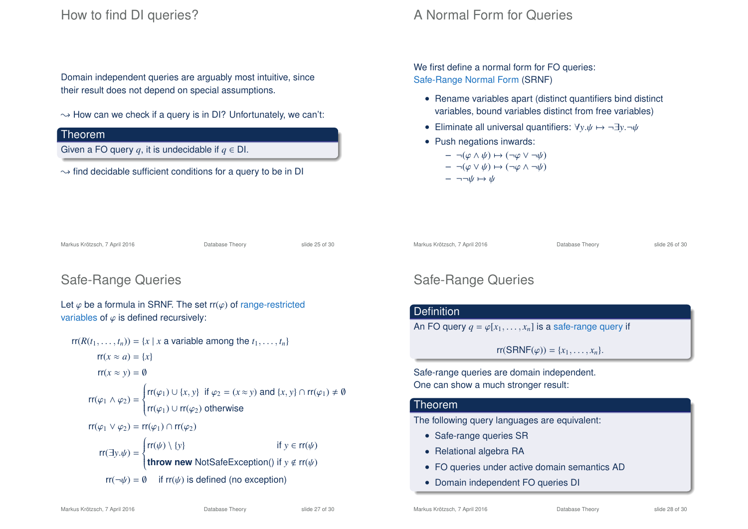### How to find DI queries?

Domain independent queries are arguably most intuitive, since their result does not depend on special assumptions.

 $\rightarrow$  How can we check if a query is in DI? Unfortunately, we can't:

#### Theorem

Given a FO query  $q$ , it is undecidable if  $q \in$  DI.

 $\sim$  find decidable sufficient conditions for a query to be in DI

### A Normal Form for Queries

We first define a normal form for FO queries: Safe-Range Normal Form (SRNF)

- Rename variables apart (distinct quantifiers bind distinct variables, bound variables distinct from free variables)
- Eliminate all universal quantifiers:  $\forall y.\psi \mapsto \neg \exists y.\neg \psi$
- Push negations inwards:

$$
-\neg(\varphi\wedge\psi)\mapsto(\neg\varphi\vee\neg\psi)
$$

$$
-\neg(\varphi \vee \psi) \mapsto (\neg \varphi \wedge \neg \psi)
$$

 $\neg\neg\psi \mapsto \psi$ 

| Markus Krötzsch, 7 April 2016 | Database Theory | slide 25 of 30 |
|-------------------------------|-----------------|----------------|
|                               |                 |                |

### Safe-Range Queries

Let  $\varphi$  be a formula in SRNF. The set rr( $\varphi$ ) of range-restricted variables of  $\varphi$  is defined recursively:

$$
rr(R(t_1,...,t_n)) = \{x \mid x \text{ a variable among the } t_1,...,t_n\}
$$
  
\n
$$
rr(x \approx a) = \{x\}
$$
  
\n
$$
rr(x \approx y) = \emptyset
$$
  
\n
$$
rr(\varphi_1 \land \varphi_2) = \begin{cases} rr(\varphi_1) \cup \{x, y\} & \text{if } \varphi_2 = (x \approx y) \text{ and } \{x, y\} \cap rr(\varphi_1) \neq \emptyset \\ rr(\varphi_1) \cup rr(\varphi_2) & \text{otherwise} \end{cases}
$$
  
\n
$$
rr(\varphi_1 \lor \varphi_2) = rr(\varphi_1) \cap rr(\varphi_2)
$$
  
\n
$$
rr(\exists y.\psi) = \begin{cases} rr(\psi) \setminus \{y\} & \text{if } y \in rr(\psi) \\ \text{throw new NotSafeException() if } y \notin rr(\psi) \\ \text{tr}(\neg \psi) = \emptyset & \text{if } rr(\psi) \text{ is defined (no exception)} \end{cases}
$$

# Safe-Range Queries

## **Definition**

An FO query  $q = \varphi[x_1, \ldots, x_n]$  is a safe-range query if

 $rr(SRNF(\varphi)) = \{x_1, \ldots, x_n\}.$ 

Markus Krötzsch, 7 April 2016 **Database Theory** Slide 26 of 30

Safe-range queries are domain independent. One can show a much stronger result:

#### **Theorem**

The following query languages are equivalent:

- Safe-range queries SR
- Relational algebra RA
- FO queries under active domain semantics AD
- Domain independent FO queries DI